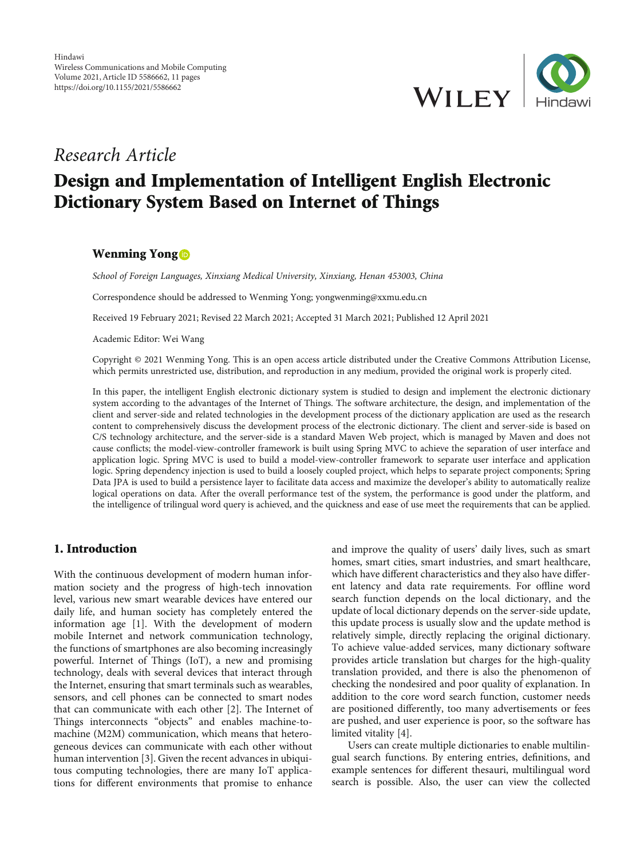

# Research Article

# Design and Implementation of Intelligent English Electronic Dictionary System Based on Internet of Things

## Wenming Yong **D**

School of Foreign Languages, Xinxiang Medical University, Xinxiang, Henan 453003, China

Correspondence should be addressed to Wenming Yong; yongwenming@xxmu.edu.cn

Received 19 February 2021; Revised 22 March 2021; Accepted 31 March 2021; Published 12 April 2021

Academic Editor: Wei Wang

Copyright © 2021 Wenming Yong. This is an open access article distributed under the [Creative Commons Attribution License](https://creativecommons.org/licenses/by/4.0/), which permits unrestricted use, distribution, and reproduction in any medium, provided the original work is properly cited.

In this paper, the intelligent English electronic dictionary system is studied to design and implement the electronic dictionary system according to the advantages of the Internet of Things. The software architecture, the design, and implementation of the client and server-side and related technologies in the development process of the dictionary application are used as the research content to comprehensively discuss the development process of the electronic dictionary. The client and server-side is based on C/S technology architecture, and the server-side is a standard Maven Web project, which is managed by Maven and does not cause conflicts; the model-view-controller framework is built using Spring MVC to achieve the separation of user interface and application logic. Spring MVC is used to build a model-view-controller framework to separate user interface and application logic. Spring dependency injection is used to build a loosely coupled project, which helps to separate project components; Spring Data JPA is used to build a persistence layer to facilitate data access and maximize the developer's ability to automatically realize logical operations on data. After the overall performance test of the system, the performance is good under the platform, and the intelligence of trilingual word query is achieved, and the quickness and ease of use meet the requirements that can be applied.

# 1. Introduction

With the continuous development of modern human information society and the progress of high-tech innovation level, various new smart wearable devices have entered our daily life, and human society has completely entered the information age [[1](#page-9-0)]. With the development of modern mobile Internet and network communication technology, the functions of smartphones are also becoming increasingly powerful. Internet of Things (IoT), a new and promising technology, deals with several devices that interact through the Internet, ensuring that smart terminals such as wearables, sensors, and cell phones can be connected to smart nodes that can communicate with each other [[2\]](#page-9-0). The Internet of Things interconnects "objects" and enables machine-tomachine (M2M) communication, which means that heterogeneous devices can communicate with each other without human intervention [[3\]](#page-9-0). Given the recent advances in ubiquitous computing technologies, there are many IoT applications for different environments that promise to enhance

and improve the quality of users' daily lives, such as smart homes, smart cities, smart industries, and smart healthcare, which have different characteristics and they also have different latency and data rate requirements. For offline word search function depends on the local dictionary, and the update of local dictionary depends on the server-side update, this update process is usually slow and the update method is relatively simple, directly replacing the original dictionary. To achieve value-added services, many dictionary software provides article translation but charges for the high-quality translation provided, and there is also the phenomenon of checking the nondesired and poor quality of explanation. In addition to the core word search function, customer needs are positioned differently, too many advertisements or fees are pushed, and user experience is poor, so the software has limited vitality [\[4](#page-9-0)].

Users can create multiple dictionaries to enable multilingual search functions. By entering entries, definitions, and example sentences for different thesauri, multilingual word search is possible. Also, the user can view the collected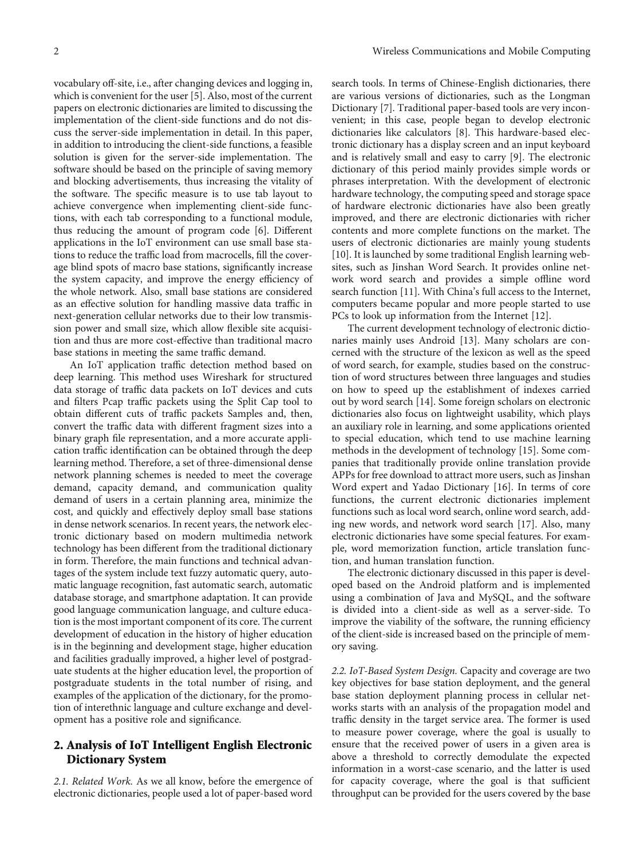vocabulary off-site, i.e., after changing devices and logging in, which is convenient for the user [[5\]](#page-9-0). Also, most of the current papers on electronic dictionaries are limited to discussing the implementation of the client-side functions and do not discuss the server-side implementation in detail. In this paper, in addition to introducing the client-side functions, a feasible solution is given for the server-side implementation. The software should be based on the principle of saving memory and blocking advertisements, thus increasing the vitality of the software. The specific measure is to use tab layout to achieve convergence when implementing client-side functions, with each tab corresponding to a functional module, thus reducing the amount of program code [\[6](#page-9-0)]. Different applications in the IoT environment can use small base stations to reduce the traffic load from macrocells, fill the coverage blind spots of macro base stations, significantly increase the system capacity, and improve the energy efficiency of the whole network. Also, small base stations are considered as an effective solution for handling massive data traffic in next-generation cellular networks due to their low transmission power and small size, which allow flexible site acquisition and thus are more cost-effective than traditional macro base stations in meeting the same traffic demand.

An IoT application traffic detection method based on deep learning. This method uses Wireshark for structured data storage of traffic data packets on IoT devices and cuts and filters Pcap traffic packets using the Split Cap tool to obtain different cuts of traffic packets Samples and, then, convert the traffic data with different fragment sizes into a binary graph file representation, and a more accurate application traffic identification can be obtained through the deep learning method. Therefore, a set of three-dimensional dense network planning schemes is needed to meet the coverage demand, capacity demand, and communication quality demand of users in a certain planning area, minimize the cost, and quickly and effectively deploy small base stations in dense network scenarios. In recent years, the network electronic dictionary based on modern multimedia network technology has been different from the traditional dictionary in form. Therefore, the main functions and technical advantages of the system include text fuzzy automatic query, automatic language recognition, fast automatic search, automatic database storage, and smartphone adaptation. It can provide good language communication language, and culture education is the most important component of its core. The current development of education in the history of higher education is in the beginning and development stage, higher education and facilities gradually improved, a higher level of postgraduate students at the higher education level, the proportion of postgraduate students in the total number of rising, and examples of the application of the dictionary, for the promotion of interethnic language and culture exchange and development has a positive role and significance.

# 2. Analysis of IoT Intelligent English Electronic Dictionary System

2.1. Related Work. As we all know, before the emergence of electronic dictionaries, people used a lot of paper-based word search tools. In terms of Chinese-English dictionaries, there are various versions of dictionaries, such as the Longman Dictionary [[7](#page-9-0)]. Traditional paper-based tools are very inconvenient; in this case, people began to develop electronic dictionaries like calculators [[8\]](#page-9-0). This hardware-based electronic dictionary has a display screen and an input keyboard and is relatively small and easy to carry [\[9](#page-9-0)]. The electronic dictionary of this period mainly provides simple words or phrases interpretation. With the development of electronic hardware technology, the computing speed and storage space of hardware electronic dictionaries have also been greatly improved, and there are electronic dictionaries with richer contents and more complete functions on the market. The users of electronic dictionaries are mainly young students [\[10\]](#page-9-0). It is launched by some traditional English learning websites, such as Jinshan Word Search. It provides online network word search and provides a simple offline word search function [\[11\]](#page-9-0). With China's full access to the Internet, computers became popular and more people started to use PCs to look up information from the Internet [\[12\]](#page-10-0).

The current development technology of electronic dictionaries mainly uses Android [[13](#page-10-0)]. Many scholars are concerned with the structure of the lexicon as well as the speed of word search, for example, studies based on the construction of word structures between three languages and studies on how to speed up the establishment of indexes carried out by word search [[14](#page-10-0)]. Some foreign scholars on electronic dictionaries also focus on lightweight usability, which plays an auxiliary role in learning, and some applications oriented to special education, which tend to use machine learning methods in the development of technology [[15](#page-10-0)]. Some companies that traditionally provide online translation provide APPs for free download to attract more users, such as Jinshan Word expert and Yadao Dictionary [\[16\]](#page-10-0). In terms of core functions, the current electronic dictionaries implement functions such as local word search, online word search, adding new words, and network word search [\[17\]](#page-10-0). Also, many electronic dictionaries have some special features. For example, word memorization function, article translation function, and human translation function.

The electronic dictionary discussed in this paper is developed based on the Android platform and is implemented using a combination of Java and MySQL, and the software is divided into a client-side as well as a server-side. To improve the viability of the software, the running efficiency of the client-side is increased based on the principle of memory saving.

2.2. IoT-Based System Design. Capacity and coverage are two key objectives for base station deployment, and the general base station deployment planning process in cellular networks starts with an analysis of the propagation model and traffic density in the target service area. The former is used to measure power coverage, where the goal is usually to ensure that the received power of users in a given area is above a threshold to correctly demodulate the expected information in a worst-case scenario, and the latter is used for capacity coverage, where the goal is that sufficient throughput can be provided for the users covered by the base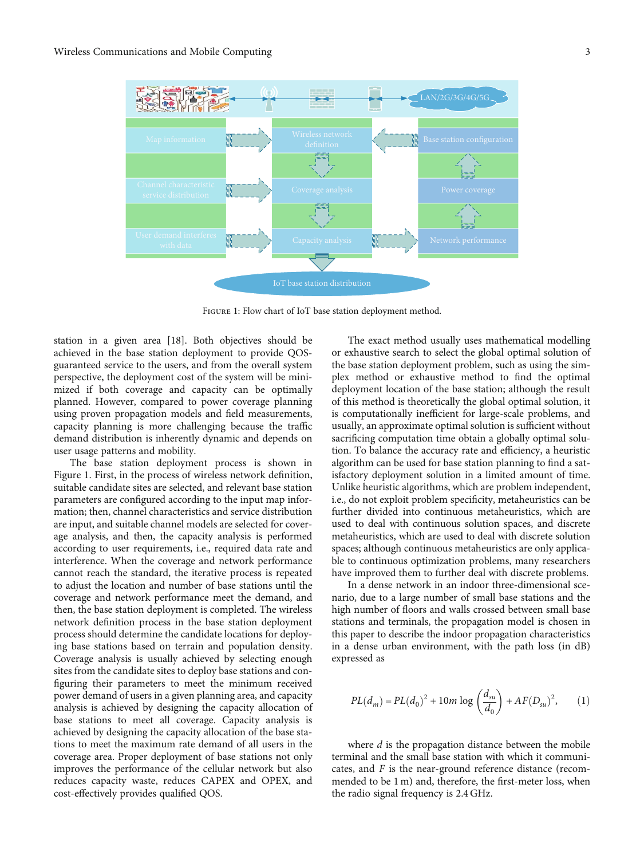

FIGURE 1: Flow chart of IoT base station deployment method.

station in a given area [\[18\]](#page-10-0). Both objectives should be achieved in the base station deployment to provide QOSguaranteed service to the users, and from the overall system perspective, the deployment cost of the system will be minimized if both coverage and capacity can be optimally planned. However, compared to power coverage planning using proven propagation models and field measurements, capacity planning is more challenging because the traffic demand distribution is inherently dynamic and depends on user usage patterns and mobility.

The base station deployment process is shown in Figure 1. First, in the process of wireless network definition, suitable candidate sites are selected, and relevant base station parameters are configured according to the input map information; then, channel characteristics and service distribution are input, and suitable channel models are selected for coverage analysis, and then, the capacity analysis is performed according to user requirements, i.e., required data rate and interference. When the coverage and network performance cannot reach the standard, the iterative process is repeated to adjust the location and number of base stations until the coverage and network performance meet the demand, and then, the base station deployment is completed. The wireless network definition process in the base station deployment process should determine the candidate locations for deploying base stations based on terrain and population density. Coverage analysis is usually achieved by selecting enough sites from the candidate sites to deploy base stations and configuring their parameters to meet the minimum received power demand of users in a given planning area, and capacity analysis is achieved by designing the capacity allocation of base stations to meet all coverage. Capacity analysis is achieved by designing the capacity allocation of the base stations to meet the maximum rate demand of all users in the coverage area. Proper deployment of base stations not only improves the performance of the cellular network but also reduces capacity waste, reduces CAPEX and OPEX, and cost-effectively provides qualified QOS.

The exact method usually uses mathematical modelling or exhaustive search to select the global optimal solution of the base station deployment problem, such as using the simplex method or exhaustive method to find the optimal deployment location of the base station; although the result of this method is theoretically the global optimal solution, it is computationally inefficient for large-scale problems, and usually, an approximate optimal solution is sufficient without sacrificing computation time obtain a globally optimal solution. To balance the accuracy rate and efficiency, a heuristic algorithm can be used for base station planning to find a satisfactory deployment solution in a limited amount of time. Unlike heuristic algorithms, which are problem independent, i.e., do not exploit problem specificity, metaheuristics can be further divided into continuous metaheuristics, which are used to deal with continuous solution spaces, and discrete metaheuristics, which are used to deal with discrete solution spaces; although continuous metaheuristics are only applicable to continuous optimization problems, many researchers have improved them to further deal with discrete problems.

In a dense network in an indoor three-dimensional scenario, due to a large number of small base stations and the high number of floors and walls crossed between small base stations and terminals, the propagation model is chosen in this paper to describe the indoor propagation characteristics in a dense urban environment, with the path loss (in dB) expressed as

$$
PL(d_m) = PL(d_0)^2 + 10m \log \left(\frac{d_{su}}{d_0}\right) + AF(D_{su})^2, \qquad (1)
$$

where *d* is the propagation distance between the mobile terminal and the small base station with which it communicates, and *F* is the near-ground reference distance (recommended to be 1 m) and, therefore, the first-meter loss, when the radio signal frequency is 2.4 GHz.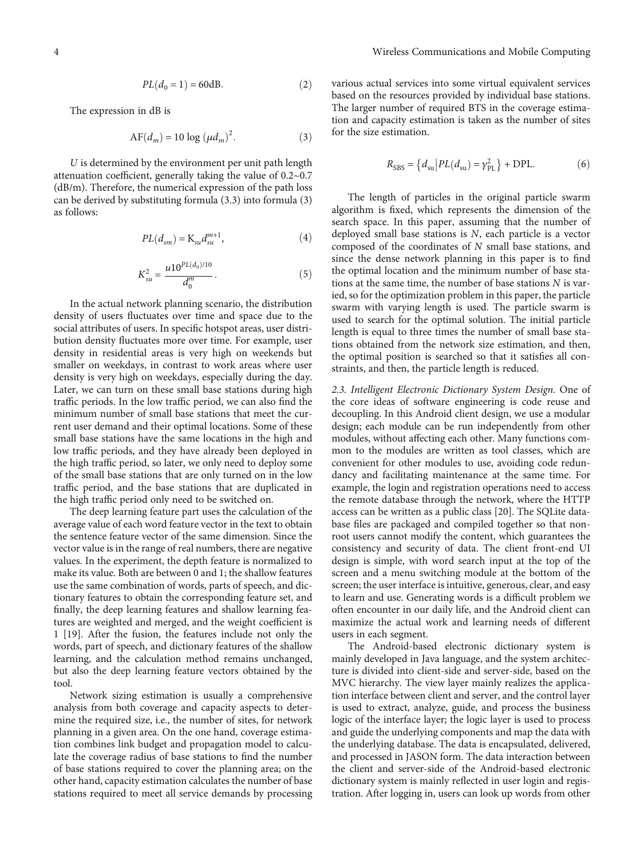$$
PL(d_0=1)=60\mathrm{dB}. \eqno{(2)}
$$

The expression in dB is

$$
AF(d_m) = 10 \log \left(\mu d_m\right)^2. \tag{3}
$$

*U* is determined by the environment per unit path length attenuation coefficient, generally taking the value of 0.2~0.7 (dB/m). Therefore, the numerical expression of the path loss can be derived by substituting formula (3.3) into formula (3) as follows:

$$
PL(d_{sm}) = \mathbf{K}_{su} d_{su}^{m+1}, \tag{4}
$$

$$
K_{su}^2 = \frac{u10^{PL(d_0)/10}}{d_0^m}.
$$
 (5)

In the actual network planning scenario, the distribution density of users fluctuates over time and space due to the social attributes of users. In specific hotspot areas, user distribution density fluctuates more over time. For example, user density in residential areas is very high on weekends but smaller on weekdays, in contrast to work areas where user density is very high on weekdays, especially during the day. Later, we can turn on these small base stations during high traffic periods. In the low traffic period, we can also find the minimum number of small base stations that meet the current user demand and their optimal locations. Some of these small base stations have the same locations in the high and low traffic periods, and they have already been deployed in the high traffic period, so later, we only need to deploy some of the small base stations that are only turned on in the low traffic period, and the base stations that are duplicated in the high traffic period only need to be switched on.

The deep learning feature part uses the calculation of the average value of each word feature vector in the text to obtain the sentence feature vector of the same dimension. Since the vector value is in the range of real numbers, there are negative values. In the experiment, the depth feature is normalized to make its value. Both are between 0 and 1; the shallow features use the same combination of words, parts of speech, and dictionary features to obtain the corresponding feature set, and finally, the deep learning features and shallow learning features are weighted and merged, and the weight coefficient is 1 [\[19\]](#page-10-0). After the fusion, the features include not only the words, part of speech, and dictionary features of the shallow learning, and the calculation method remains unchanged, but also the deep learning feature vectors obtained by the tool.

Network sizing estimation is usually a comprehensive analysis from both coverage and capacity aspects to determine the required size, i.e., the number of sites, for network planning in a given area. On the one hand, coverage estimation combines link budget and propagation model to calculate the coverage radius of base stations to find the number of base stations required to cover the planning area; on the other hand, capacity estimation calculates the number of base stations required to meet all service demands by processing various actual services into some virtual equivalent services based on the resources provided by individual base stations. The larger number of required BTS in the coverage estimation and capacity estimation is taken as the number of sites for the size estimation.

$$
R_{\rm SBS} = \left\{ d_{\rm su} \middle| PL(d_{\rm su}) = \gamma_{\rm PL}^2 \right\} + \text{DPL}.
$$
 (6)

The length of particles in the original particle swarm algorithm is fixed, which represents the dimension of the search space. In this paper, assuming that the number of deployed small base stations is *N*, each particle is a vector composed of the coordinates of *N* small base stations, and since the dense network planning in this paper is to find the optimal location and the minimum number of base stations at the same time, the number of base stations *N* is varied, so for the optimization problem in this paper, the particle swarm with varying length is used. The particle swarm is used to search for the optimal solution. The initial particle length is equal to three times the number of small base stations obtained from the network size estimation, and then, the optimal position is searched so that it satisfies all constraints, and then, the particle length is reduced.

2.3. Intelligent Electronic Dictionary System Design. One of the core ideas of software engineering is code reuse and decoupling. In this Android client design, we use a modular design; each module can be run independently from other modules, without affecting each other. Many functions common to the modules are written as tool classes, which are convenient for other modules to use, avoiding code redundancy and facilitating maintenance at the same time. For example, the login and registration operations need to access the remote database through the network, where the HTTP access can be written as a public class [[20](#page-10-0)]. The SQLite database files are packaged and compiled together so that nonroot users cannot modify the content, which guarantees the consistency and security of data. The client front-end UI design is simple, with word search input at the top of the screen and a menu switching module at the bottom of the screen; the user interface is intuitive, generous, clear, and easy to learn and use. Generating words is a difficult problem we often encounter in our daily life, and the Android client can maximize the actual work and learning needs of different users in each segment.

The Android-based electronic dictionary system is mainly developed in Java language, and the system architecture is divided into client-side and server-side, based on the MVC hierarchy. The view layer mainly realizes the application interface between client and server, and the control layer is used to extract, analyze, guide, and process the business logic of the interface layer; the logic layer is used to process and guide the underlying components and map the data with the underlying database. The data is encapsulated, delivered, and processed in JASON form. The data interaction between the client and server-side of the Android-based electronic dictionary system is mainly reflected in user login and registration. After logging in, users can look up words from other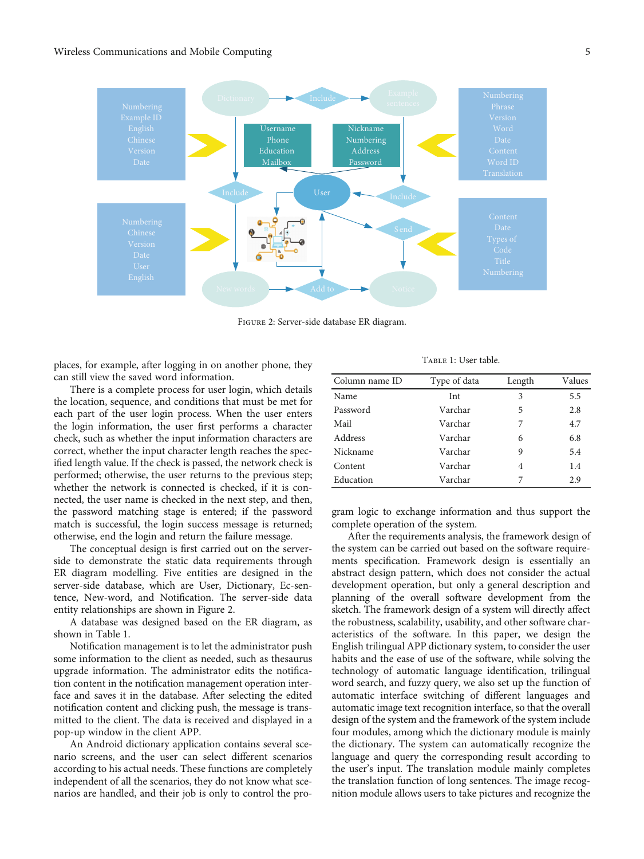

Figure 2: Server-side database ER diagram.

places, for example, after logging in on another phone, they can still view the saved word information.

There is a complete process for user login, which details the location, sequence, and conditions that must be met for each part of the user login process. When the user enters the login information, the user first performs a character check, such as whether the input information characters are correct, whether the input character length reaches the specified length value. If the check is passed, the network check is performed; otherwise, the user returns to the previous step; whether the network is connected is checked, if it is connected, the user name is checked in the next step, and then, the password matching stage is entered; if the password match is successful, the login success message is returned; otherwise, end the login and return the failure message.

The conceptual design is first carried out on the serverside to demonstrate the static data requirements through ER diagram modelling. Five entities are designed in the server-side database, which are User, Dictionary, Ec-sentence, New-word, and Notification. The server-side data entity relationships are shown in Figure 2.

A database was designed based on the ER diagram, as shown in Table 1.

Notification management is to let the administrator push some information to the client as needed, such as thesaurus upgrade information. The administrator edits the notification content in the notification management operation interface and saves it in the database. After selecting the edited notification content and clicking push, the message is transmitted to the client. The data is received and displayed in a pop-up window in the client APP.

An Android dictionary application contains several scenario screens, and the user can select different scenarios according to his actual needs. These functions are completely independent of all the scenarios, they do not know what scenarios are handled, and their job is only to control the pro-

| TABLE 1: User table. |  |
|----------------------|--|
| m c1.                |  |

| Column name ID | Type of data | Length | Values |
|----------------|--------------|--------|--------|
| Name           | Int          | 3      | 5.5    |
| Password       | Varchar      | 5      | 2.8    |
| Mail           | Varchar      | 7      | 4.7    |
| Address        | Varchar      | 6      | 6.8    |
| Nickname       | Varchar      | 9      | 5.4    |
| Content        | Varchar      | 4      | 1.4    |
| Education      | Varchar      | 7      | 2.9    |

gram logic to exchange information and thus support the complete operation of the system.

After the requirements analysis, the framework design of the system can be carried out based on the software requirements specification. Framework design is essentially an abstract design pattern, which does not consider the actual development operation, but only a general description and planning of the overall software development from the sketch. The framework design of a system will directly affect the robustness, scalability, usability, and other software characteristics of the software. In this paper, we design the English trilingual APP dictionary system, to consider the user habits and the ease of use of the software, while solving the technology of automatic language identification, trilingual word search, and fuzzy query, we also set up the function of automatic interface switching of different languages and automatic image text recognition interface, so that the overall design of the system and the framework of the system include four modules, among which the dictionary module is mainly the dictionary. The system can automatically recognize the language and query the corresponding result according to the user's input. The translation module mainly completes the translation function of long sentences. The image recognition module allows users to take pictures and recognize the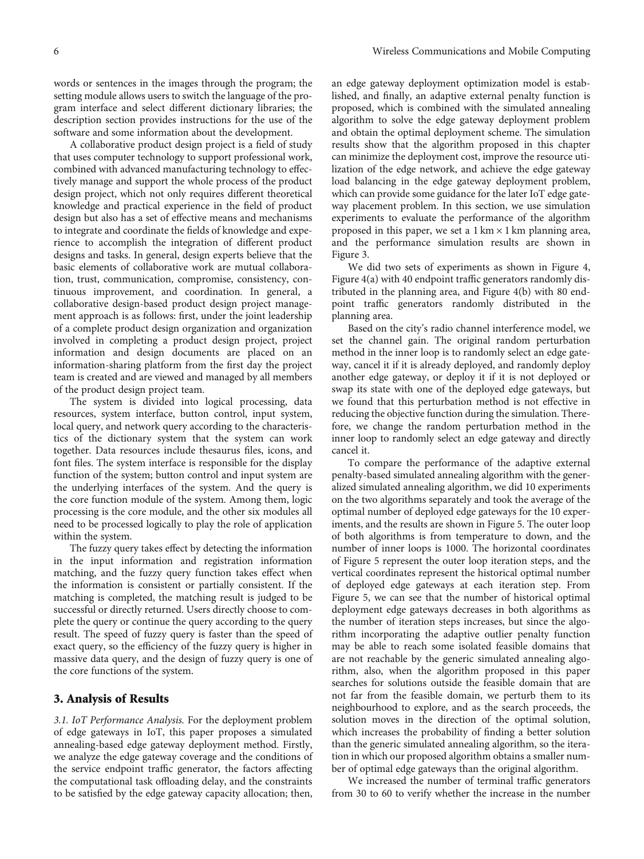words or sentences in the images through the program; the setting module allows users to switch the language of the program interface and select different dictionary libraries; the description section provides instructions for the use of the software and some information about the development.

A collaborative product design project is a field of study that uses computer technology to support professional work, combined with advanced manufacturing technology to effectively manage and support the whole process of the product design project, which not only requires different theoretical knowledge and practical experience in the field of product design but also has a set of effective means and mechanisms to integrate and coordinate the fields of knowledge and experience to accomplish the integration of different product designs and tasks. In general, design experts believe that the basic elements of collaborative work are mutual collaboration, trust, communication, compromise, consistency, continuous improvement, and coordination. In general, a collaborative design-based product design project management approach is as follows: first, under the joint leadership of a complete product design organization and organization involved in completing a product design project, project information and design documents are placed on an information-sharing platform from the first day the project team is created and are viewed and managed by all members of the product design project team.

The system is divided into logical processing, data resources, system interface, button control, input system, local query, and network query according to the characteristics of the dictionary system that the system can work together. Data resources include thesaurus files, icons, and font files. The system interface is responsible for the display function of the system; button control and input system are the underlying interfaces of the system. And the query is the core function module of the system. Among them, logic processing is the core module, and the other six modules all need to be processed logically to play the role of application within the system.

The fuzzy query takes effect by detecting the information in the input information and registration information matching, and the fuzzy query function takes effect when the information is consistent or partially consistent. If the matching is completed, the matching result is judged to be successful or directly returned. Users directly choose to complete the query or continue the query according to the query result. The speed of fuzzy query is faster than the speed of exact query, so the efficiency of the fuzzy query is higher in massive data query, and the design of fuzzy query is one of the core functions of the system.

#### 3. Analysis of Results

3.1. IoT Performance Analysis. For the deployment problem of edge gateways in IoT, this paper proposes a simulated annealing-based edge gateway deployment method. Firstly, we analyze the edge gateway coverage and the conditions of the service endpoint traffic generator, the factors affecting the computational task offloading delay, and the constraints to be satisfied by the edge gateway capacity allocation; then, an edge gateway deployment optimization model is established, and finally, an adaptive external penalty function is proposed, which is combined with the simulated annealing algorithm to solve the edge gateway deployment problem and obtain the optimal deployment scheme. The simulation results show that the algorithm proposed in this chapter can minimize the deployment cost, improve the resource utilization of the edge network, and achieve the edge gateway load balancing in the edge gateway deployment problem, which can provide some guidance for the later IoT edge gateway placement problem. In this section, we use simulation experiments to evaluate the performance of the algorithm proposed in this paper, we set a  $1 \text{ km} \times 1 \text{ km}$  planning area, and the performance simulation results are shown in Figure [3.](#page-6-0)

We did two sets of experiments as shown in Figure [4,](#page-6-0) Figure [4\(a\)](#page-6-0) with 40 endpoint traffic generators randomly distributed in the planning area, and Figure [4\(b\)](#page-6-0) with 80 endpoint traffic generators randomly distributed in the planning area.

Based on the city's radio channel interference model, we set the channel gain. The original random perturbation method in the inner loop is to randomly select an edge gateway, cancel it if it is already deployed, and randomly deploy another edge gateway, or deploy it if it is not deployed or swap its state with one of the deployed edge gateways, but we found that this perturbation method is not effective in reducing the objective function during the simulation. Therefore, we change the random perturbation method in the inner loop to randomly select an edge gateway and directly cancel it.

To compare the performance of the adaptive external penalty-based simulated annealing algorithm with the generalized simulated annealing algorithm, we did 10 experiments on the two algorithms separately and took the average of the optimal number of deployed edge gateways for the 10 experiments, and the results are shown in Figure [5.](#page-7-0) The outer loop of both algorithms is from temperature to down, and the number of inner loops is 1000. The horizontal coordinates of Figure [5](#page-7-0) represent the outer loop iteration steps, and the vertical coordinates represent the historical optimal number of deployed edge gateways at each iteration step. From Figure [5,](#page-7-0) we can see that the number of historical optimal deployment edge gateways decreases in both algorithms as the number of iteration steps increases, but since the algorithm incorporating the adaptive outlier penalty function may be able to reach some isolated feasible domains that are not reachable by the generic simulated annealing algorithm, also, when the algorithm proposed in this paper searches for solutions outside the feasible domain that are not far from the feasible domain, we perturb them to its neighbourhood to explore, and as the search proceeds, the solution moves in the direction of the optimal solution, which increases the probability of finding a better solution than the generic simulated annealing algorithm, so the iteration in which our proposed algorithm obtains a smaller number of optimal edge gateways than the original algorithm.

We increased the number of terminal traffic generators from 30 to 60 to verify whether the increase in the number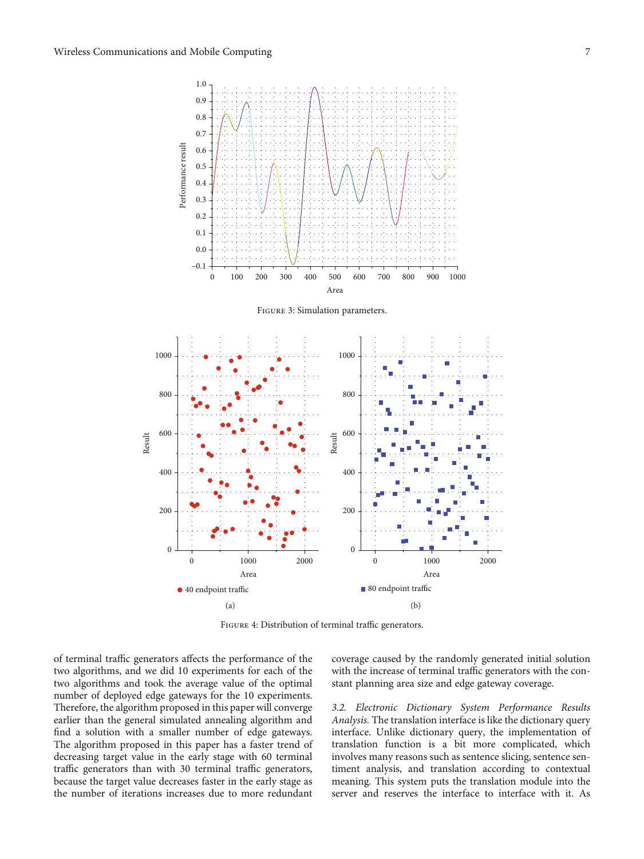<span id="page-6-0"></span>

FIGURE 4: Distribution of terminal traffic generators.

of terminal traffic generators affects the performance of the two algorithms, and we did 10 experiments for each of the two algorithms and took the average value of the optimal number of deployed edge gateways for the 10 experiments. Therefore, the algorithm proposed in this paper will converge earlier than the general simulated annealing algorithm and find a solution with a smaller number of edge gateways. The algorithm proposed in this paper has a faster trend of decreasing target value in the early stage with 60 terminal traffic generators than with 30 terminal traffic generators, because the target value decreases faster in the early stage as the number of iterations increases due to more redundant coverage caused by the randomly generated initial solution with the increase of terminal traffic generators with the constant planning area size and edge gateway coverage.

3.2. Electronic Dictionary System Performance Results Analysis. The translation interface is like the dictionary query interface. Unlike dictionary query, the implementation of translation function is a bit more complicated, which involves many reasons such as sentence slicing, sentence sentiment analysis, and translation according to contextual meaning. This system puts the translation module into the server and reserves the interface to interface with it. As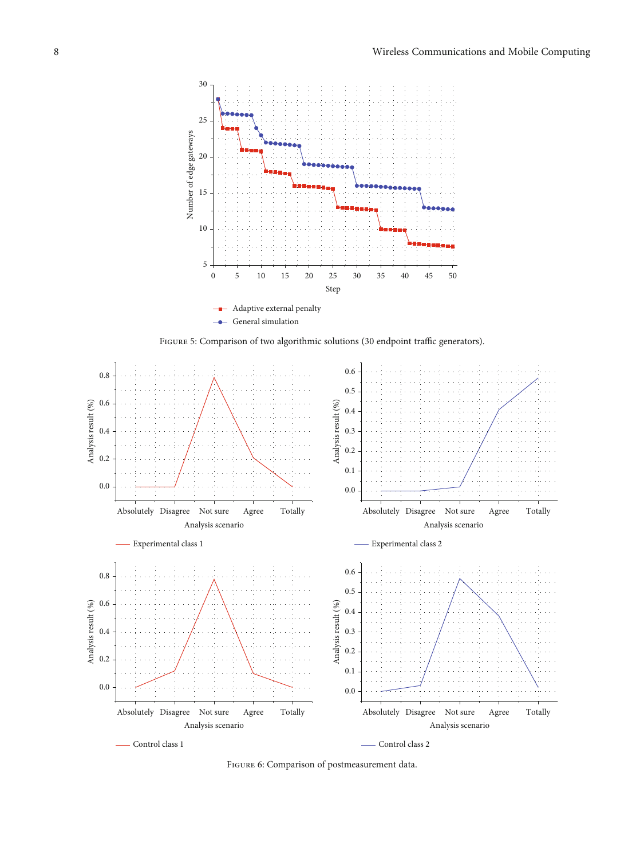<span id="page-7-0"></span>

FIGURE 5: Comparison of two algorithmic solutions (30 endpoint traffic generators).



Figure 6: Comparison of postmeasurement data.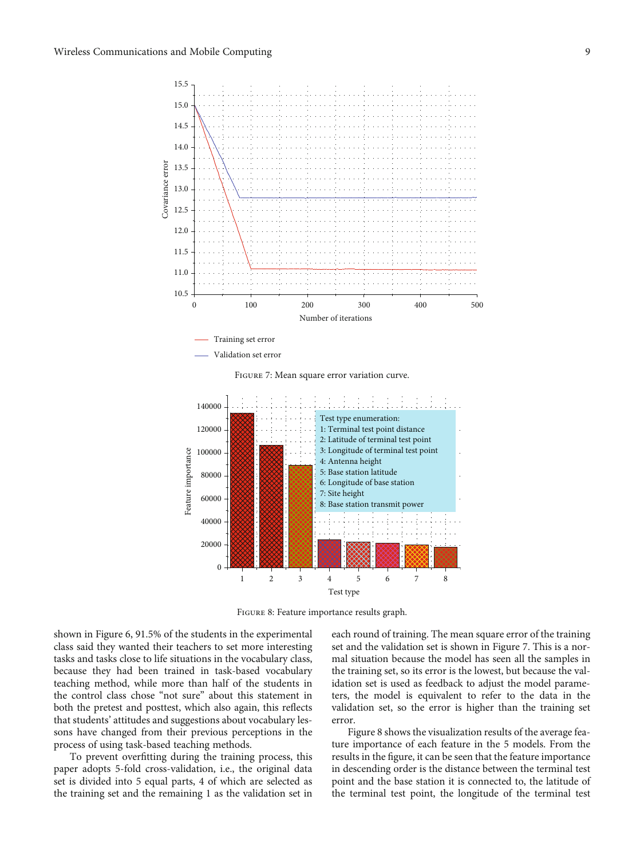

Figure 7: Mean square error variation curve.



FIGURE 8: Feature importance results graph.

shown in Figure [6,](#page-7-0) 91.5% of the students in the experimental class said they wanted their teachers to set more interesting tasks and tasks close to life situations in the vocabulary class, because they had been trained in task-based vocabulary teaching method, while more than half of the students in the control class chose "not sure" about this statement in both the pretest and posttest, which also again, this reflects that students' attitudes and suggestions about vocabulary lessons have changed from their previous perceptions in the process of using task-based teaching methods.

To prevent overfitting during the training process, this paper adopts 5-fold cross-validation, i.e., the original data set is divided into 5 equal parts, 4 of which are selected as the training set and the remaining 1 as the validation set in

each round of training. The mean square error of the training set and the validation set is shown in Figure 7. This is a normal situation because the model has seen all the samples in the training set, so its error is the lowest, but because the validation set is used as feedback to adjust the model parameters, the model is equivalent to refer to the data in the validation set, so the error is higher than the training set error.

Figure 8 shows the visualization results of the average feature importance of each feature in the 5 models. From the results in the figure, it can be seen that the feature importance in descending order is the distance between the terminal test point and the base station it is connected to, the latitude of the terminal test point, the longitude of the terminal test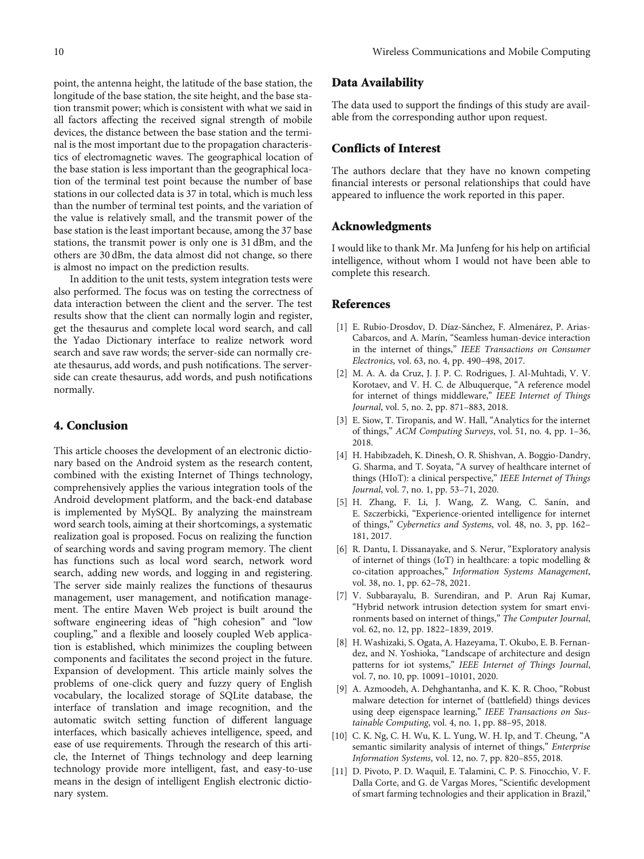<span id="page-9-0"></span>point, the antenna height, the latitude of the base station, the longitude of the base station, the site height, and the base station transmit power; which is consistent with what we said in all factors affecting the received signal strength of mobile devices, the distance between the base station and the terminal is the most important due to the propagation characteristics of electromagnetic waves. The geographical location of the base station is less important than the geographical location of the terminal test point because the number of base stations in our collected data is 37 in total, which is much less than the number of terminal test points, and the variation of the value is relatively small, and the transmit power of the base station is the least important because, among the 37 base stations, the transmit power is only one is 31 dBm, and the others are 30 dBm, the data almost did not change, so there is almost no impact on the prediction results.

In addition to the unit tests, system integration tests were also performed. The focus was on testing the correctness of data interaction between the client and the server. The test results show that the client can normally login and register, get the thesaurus and complete local word search, and call the Yadao Dictionary interface to realize network word search and save raw words; the server-side can normally create thesaurus, add words, and push notifications. The serverside can create thesaurus, add words, and push notifications normally.

#### 4. Conclusion

This article chooses the development of an electronic dictionary based on the Android system as the research content, combined with the existing Internet of Things technology, comprehensively applies the various integration tools of the Android development platform, and the back-end database is implemented by MySQL. By analyzing the mainstream word search tools, aiming at their shortcomings, a systematic realization goal is proposed. Focus on realizing the function of searching words and saving program memory. The client has functions such as local word search, network word search, adding new words, and logging in and registering. The server side mainly realizes the functions of thesaurus management, user management, and notification management. The entire Maven Web project is built around the software engineering ideas of "high cohesion" and "low coupling," and a flexible and loosely coupled Web application is established, which minimizes the coupling between components and facilitates the second project in the future. Expansion of development. This article mainly solves the problems of one-click query and fuzzy query of English vocabulary, the localized storage of SQLite database, the interface of translation and image recognition, and the automatic switch setting function of different language interfaces, which basically achieves intelligence, speed, and ease of use requirements. Through the research of this article, the Internet of Things technology and deep learning technology provide more intelligent, fast, and easy-to-use means in the design of intelligent English electronic dictionary system.

#### Data Availability

The data used to support the findings of this study are available from the corresponding author upon request.

#### Conflicts of Interest

The authors declare that they have no known competing financial interests or personal relationships that could have appeared to influence the work reported in this paper.

#### Acknowledgments

I would like to thank Mr. Ma Junfeng for his help on artificial intelligence, without whom I would not have been able to complete this research.

#### References

- [1] E. Rubio-Drosdov, D. Díaz-Sánchez, F. Almenárez, P. Arias-Cabarcos, and A. Marín, "Seamless human-device interaction in the internet of things," IEEE Transactions on Consumer Electronics, vol. 63, no. 4, pp. 490–498, 2017.
- [2] M. A. A. da Cruz, J. J. P. C. Rodrigues, J. Al-Muhtadi, V. V. Korotaev, and V. H. C. de Albuquerque, "A reference model for internet of things middleware," IEEE Internet of Things Journal, vol. 5, no. 2, pp. 871–883, 2018.
- [3] E. Siow, T. Tiropanis, and W. Hall, "Analytics for the internet of things," ACM Computing Surveys, vol. 51, no. 4, pp. 1–36, 2018.
- [4] H. Habibzadeh, K. Dinesh, O. R. Shishvan, A. Boggio-Dandry, G. Sharma, and T. Soyata, "A survey of healthcare internet of things (HIoT): a clinical perspective," IEEE Internet of Things Journal, vol. 7, no. 1, pp. 53–71, 2020.
- [5] H. Zhang, F. Li, J. Wang, Z. Wang, C. Sanín, and E. Szczerbicki, "Experience-oriented intelligence for internet of things," Cybernetics and Systems, vol. 48, no. 3, pp. 162– 181, 2017.
- [6] R. Dantu, I. Dissanayake, and S. Nerur, "Exploratory analysis of internet of things (IoT) in healthcare: a topic modelling & co-citation approaches," Information Systems Management, vol. 38, no. 1, pp. 62–78, 2021.
- [7] V. Subbarayalu, B. Surendiran, and P. Arun Raj Kumar, "Hybrid network intrusion detection system for smart environments based on internet of things," The Computer Journal, vol. 62, no. 12, pp. 1822–1839, 2019.
- [8] H. Washizaki, S. Ogata, A. Hazeyama, T. Okubo, E. B. Fernandez, and N. Yoshioka, "Landscape of architecture and design patterns for iot systems," IEEE Internet of Things Journal, vol. 7, no. 10, pp. 10091–10101, 2020.
- [9] A. Azmoodeh, A. Dehghantanha, and K. K. R. Choo, "Robust malware detection for internet of (battlefield) things devices using deep eigenspace learning," IEEE Transactions on Sustainable Computing, vol. 4, no. 1, pp. 88–95, 2018.
- [10] C. K. Ng, C. H. Wu, K. L. Yung, W. H. Ip, and T. Cheung, "A semantic similarity analysis of internet of things," Enterprise Information Systems, vol. 12, no. 7, pp. 820–855, 2018.
- [11] D. Pivoto, P. D. Waquil, E. Talamini, C. P. S. Finocchio, V. F. Dalla Corte, and G. de Vargas Mores, "Scientific development of smart farming technologies and their application in Brazil,"